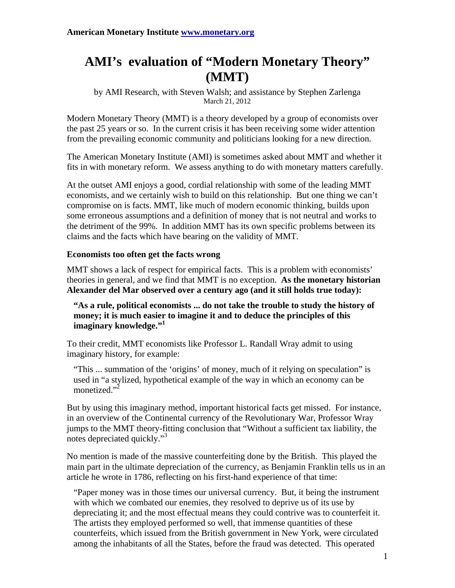# **AMI's evaluation of "Modern Monetary Theory" (MMT)**

by AMI Research, with Steven Walsh; and assistance by Stephen Zarlenga March 21, 2012

Modern Monetary Theory (MMT) is a theory developed by a group of economists over the past 25 years or so. In the current crisis it has been receiving some wider attention from the prevailing economic community and politicians looking for a new direction.

The American Monetary Institute (AMI) is sometimes asked about MMT and whether it fits in with monetary reform. We assess anything to do with monetary matters carefully.

At the outset AMI enjoys a good, cordial relationship with some of the leading MMT economists, and we certainly wish to build on this relationship. But one thing we can't compromise on is facts. MMT, like much of modern economic thinking, builds upon some erroneous assumptions and a definition of money that is not neutral and works to the detriment of the 99%. In addition MMT has its own specific problems between its claims and the facts which have bearing on the validity of MMT.

# **Economists too often get the facts wrong**

MMT shows a lack of respect for empirical facts. This is a problem with economists' theories in general, and we find that MMT is no exception. **As the monetary historian Alexander del Mar observed over a century ago (and it still holds true today):**

**"As a rule, political economists ... do not take the trouble to study the history of money; it is much easier to imagine it and to deduce the principles of this imaginary knowledge."<sup>1</sup>**

To their credit, MMT economists like Professor L. Randall Wray admit to using imaginary history, for example:

"This ... summation of the 'origins' of money, much of it relying on speculation" is used in "a stylized, hypothetical example of the way in which an economy can be monetized."<sup>2</sup>

But by using this imaginary method, important historical facts get missed. For instance, in an overview of the Continental currency of the Revolutionary War, Professor Wray jumps to the MMT theory-fitting conclusion that "Without a sufficient tax liability, the notes depreciated quickly."<sup>3</sup>

No mention is made of the massive counterfeiting done by the British. This played the main part in the ultimate depreciation of the currency, as Benjamin Franklin tells us in an article he wrote in 1786, reflecting on his first-hand experience of that time:

"Paper money was in those times our universal currency. But, it being the instrument with which we combated our enemies, they resolved to deprive us of its use by depreciating it; and the most effectual means they could contrive was to counterfeit it. The artists they employed performed so well, that immense quantities of these counterfeits, which issued from the British government in New York, were circulated among the inhabitants of all the States, before the fraud was detected. This operated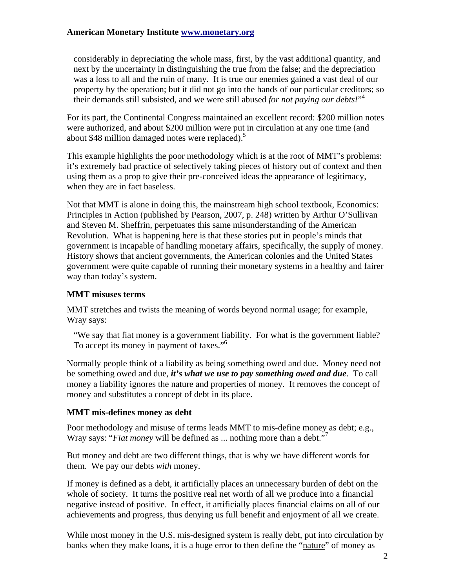considerably in depreciating the whole mass, first, by the vast additional quantity, and next by the uncertainty in distinguishing the true from the false; and the depreciation was a loss to all and the ruin of many. It is true our enemies gained a vast deal of our property by the operation; but it did not go into the hands of our particular creditors; so their demands still subsisted, and we were still abused *for not paying our debts!*" 4

For its part, the Continental Congress maintained an excellent record: \$200 million notes were authorized, and about \$200 million were put in circulation at any one time (and about \$48 million damaged notes were replaced).<sup>5</sup>

This example highlights the poor methodology which is at the root of MMT's problems: it's extremely bad practice of selectively taking pieces of history out of context and then using them as a prop to give their pre-conceived ideas the appearance of legitimacy, when they are in fact baseless.

Not that MMT is alone in doing this, the mainstream high school textbook, Economics: Principles in Action (published by Pearson, 2007, p. 248) written by Arthur O'Sullivan and Steven M. Sheffrin, perpetuates this same misunderstanding of the American Revolution. What is happening here is that these stories put in people's minds that government is incapable of handling monetary affairs, specifically, the supply of money. History shows that ancient governments, the American colonies and the United States government were quite capable of running their monetary systems in a healthy and fairer way than today's system.

#### **MMT misuses terms**

MMT stretches and twists the meaning of words beyond normal usage; for example, Wray says:

"We say that fiat money is a government liability. For what is the government liable? To accept its money in payment of taxes."6

Normally people think of a liability as being something owed and due. Money need not be something owed and due, *it's what we use to pay something owed and due*. To call money a liability ignores the nature and properties of money. It removes the concept of money and substitutes a concept of debt in its place.

#### **MMT mis-defines money as debt**

Poor methodology and misuse of terms leads MMT to mis-define money as debt; e.g., Wray says: "*Fiat money* will be defined as ... nothing more than a debt."7

But money and debt are two different things, that is why we have different words for them. We pay our debts *with* money.

If money is defined as a debt, it artificially places an unnecessary burden of debt on the whole of society. It turns the positive real net worth of all we produce into a financial negative instead of positive. In effect, it artificially places financial claims on all of our achievements and progress, thus denying us full benefit and enjoyment of all we create.

While most money in the U.S. mis-designed system is really debt, put into circulation by banks when they make loans, it is a huge error to then define the "nature" of money as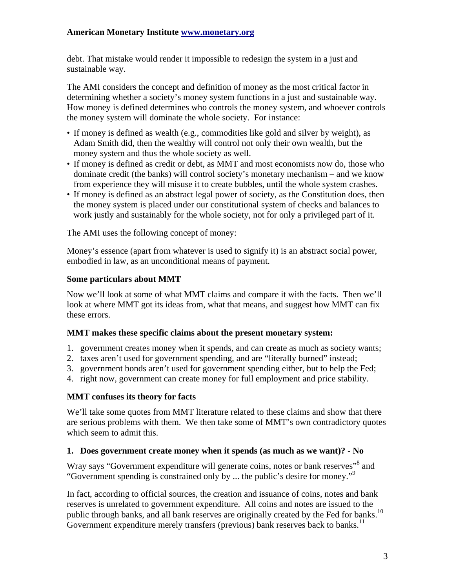debt. That mistake would render it impossible to redesign the system in a just and sustainable way.

The AMI considers the concept and definition of money as the most critical factor in determining whether a society's money system functions in a just and sustainable way. How money is defined determines who controls the money system, and whoever controls the money system will dominate the whole society. For instance:

- If money is defined as wealth (e.g., commodities like gold and silver by weight), as Adam Smith did, then the wealthy will control not only their own wealth, but the money system and thus the whole society as well.
- If money is defined as credit or debt, as MMT and most economists now do, those who dominate credit (the banks) will control society's monetary mechanism – and we know from experience they will misuse it to create bubbles, until the whole system crashes.
- If money is defined as an abstract legal power of society, as the Constitution does, then the money system is placed under our constitutional system of checks and balances to work justly and sustainably for the whole society, not for only a privileged part of it.

The AMI uses the following concept of money:

Money's essence (apart from whatever is used to signify it) is an abstract social power, embodied in law, as an unconditional means of payment.

## **Some particulars about MMT**

Now we'll look at some of what MMT claims and compare it with the facts. Then we'll look at where MMT got its ideas from, what that means, and suggest how MMT can fix these errors.

# **MMT makes these specific claims about the present monetary system:**

- 1. government creates money when it spends, and can create as much as society wants;
- 2. taxes aren't used for government spending, and are "literally burned" instead;
- 3. government bonds aren't used for government spending either, but to help the Fed;
- 4. right now, government can create money for full employment and price stability.

# **MMT confuses its theory for facts**

We'll take some quotes from MMT literature related to these claims and show that there are serious problems with them. We then take some of MMT's own contradictory quotes which seem to admit this.

#### **1. Does government create money when it spends (as much as we want)? - No**

Wray says "Government expenditure will generate coins, notes or bank reserves"<sup>8</sup> and "Government spending is constrained only by ... the public's desire for money."<sup>9</sup>

In fact, according to official sources, the creation and issuance of coins, notes and bank reserves is unrelated to government expenditure. All coins and notes are issued to the public through banks, and all bank reserves are originally created by the Fed for banks.<sup>10</sup> Government expenditure merely transfers (previous) bank reserves back to banks.<sup>11</sup>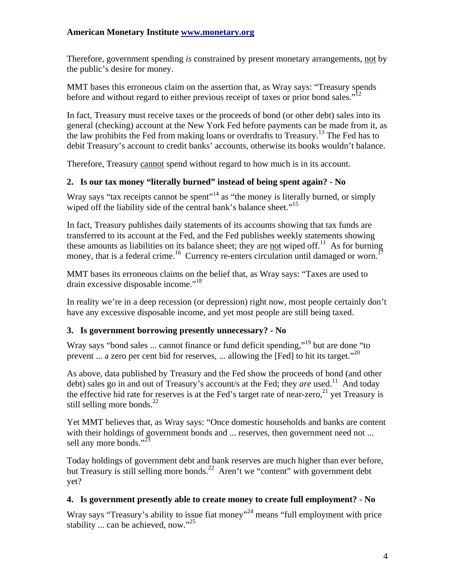Therefore, government spending *is* constrained by present monetary arrangements, not by the public's desire for money.

MMT bases this erroneous claim on the assertion that, as Wray says: "Treasury spends before and without regard to either previous receipt of taxes or prior bond sales."<sup>12</sup>

In fact, Treasury must receive taxes or the proceeds of bond (or other debt) sales into its general (checking) account at the New York Fed before payments can be made from it, as the law prohibits the Fed from making loans or overdrafts to Treasury.13 The Fed has to debit Treasury's account to credit banks' accounts, otherwise its books wouldn't balance.

Therefore, Treasury cannot spend without regard to how much is in its account.

# **2. Is our tax money "literally burned" instead of being spent again? - No**

Wray says "tax receipts cannot be spent"<sup>14</sup> as "the money is literally burned, or simply wiped off the liability side of the central bank's balance sheet."<sup>15</sup>

In fact, Treasury publishes daily statements of its accounts showing that tax funds are transferred to its account at the Fed, and the Fed publishes weekly statements showing these amounts as liabilities on its balance sheet; they are not wiped off.<sup>11</sup> As for burning money, that is a federal crime.<sup>16</sup> Currency re-enters circulation until damaged or worn.<sup>17</sup>

MMT bases its erroneous claims on the belief that, as Wray says: "Taxes are used to drain excessive disposable income."<sup>18</sup>

In reality we're in a deep recession (or depression) right now, most people certainly don't have any excessive disposable income, and yet most people are still being taxed.

# **3. Is government borrowing presently unnecessary? - No**

Wray says "bond sales ... cannot finance or fund deficit spending,"<sup>19</sup> but are done "to" prevent ... a zero per cent bid for reserves, ... allowing the [Fed] to hit its target."<sup>20</sup>

As above, data published by Treasury and the Fed show the proceeds of bond (and other debt) sales go in and out of Treasury's account/s at the Fed; they *are* used.<sup>11</sup> And today the effective bid rate for reserves is at the Fed's target rate of near-zero,  $21$  yet Treasury is still selling more bonds. $^{22}$ 

Yet MMT believes that, as Wray says: "Once domestic households and banks are content with their holdings of government bonds and ... reserves, then government need not ... sell any more bonds." $^{23}$ 

Today holdings of government debt and bank reserves are much higher than ever before, but Treasury is still selling more bonds.<sup>22</sup> Aren't we "content" with government debt yet?

# **4. Is government presently able to create money to create full employment? - No**

Wray says "Treasury's ability to issue fiat money"<sup>24</sup> means "full employment with price stability ... can be achieved, now."<sup>25</sup>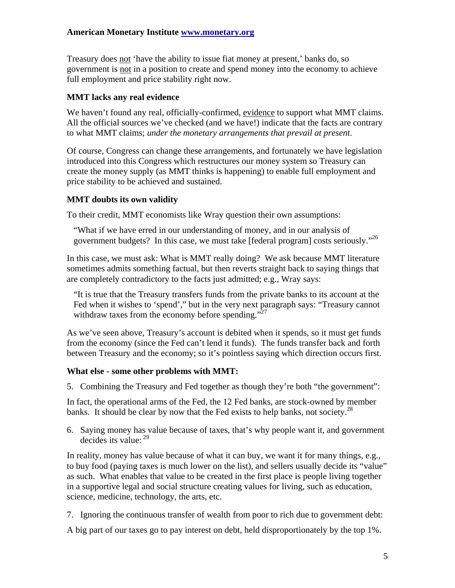Treasury does not 'have the ability to issue fiat money at present,' banks do, so government is not in a position to create and spend money into the economy to achieve full employment and price stability right now.

#### **MMT lacks any real evidence**

We haven't found any real, officially-confirmed, evidence to support what MMT claims. All the official sources we've checked (and we have!) indicate that the facts are contrary to what MMT claims; *under the monetary arrangements that prevail at present*.

Of course, Congress can change these arrangements, and fortunately we have legislation introduced into this Congress which restructures our money system so Treasury can create the money supply (as MMT thinks is happening) to enable full employment and price stability to be achieved and sustained.

## **MMT doubts its own validity**

To their credit, MMT economists like Wray question their own assumptions:

"What if we have erred in our understanding of money, and in our analysis of government budgets? In this case, we must take [federal program] costs seriously."26

In this case, we must ask: What is MMT really doing? We ask because MMT literature sometimes admits something factual, but then reverts straight back to saying things that are completely contradictory to the facts just admitted; e.g., Wray says:

"It is true that the Treasury transfers funds from the private banks to its account at the Fed when it wishes to 'spend'," but in the very next paragraph says: "Treasury cannot withdraw taxes from the economy before spending."<sup>27</sup>

As we've seen above, Treasury's account is debited when it spends, so it must get funds from the economy (since the Fed can't lend it funds). The funds transfer back and forth between Treasury and the economy; so it's pointless saying which direction occurs first.

#### **What else - some other problems with MMT:**

5. Combining the Treasury and Fed together as though they're both "the government":

In fact, the operational arms of the Fed, the 12 Fed banks, are stock-owned by member banks. It should be clear by now that the Fed exists to help banks, not society.<sup>28</sup>

6. Saying money has value because of taxes, that's why people want it, and government decides its value:  $29$ 

In reality, money has value because of what it can buy, we want it for many things, e.g., to buy food (paying taxes is much lower on the list), and sellers usually decide its "value" as such. What enables that value to be created in the first place is people living together in a supportive legal and social structure creating values for living, such as education, science, medicine, technology, the arts, etc.

7. Ignoring the continuous transfer of wealth from poor to rich due to government debt:

A big part of our taxes go to pay interest on debt, held disproportionately by the top 1%.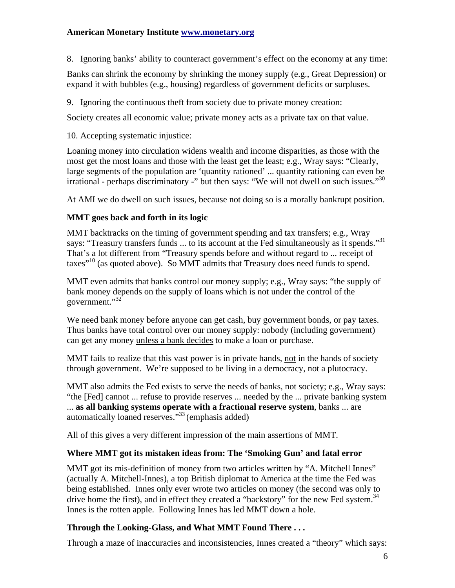8. Ignoring banks' ability to counteract government's effect on the economy at any time:

Banks can shrink the economy by shrinking the money supply (e.g., Great Depression) or expand it with bubbles (e.g., housing) regardless of government deficits or surpluses.

9. Ignoring the continuous theft from society due to private money creation:

Society creates all economic value; private money acts as a private tax on that value.

10. Accepting systematic injustice:

Loaning money into circulation widens wealth and income disparities, as those with the most get the most loans and those with the least get the least; e.g., Wray says: "Clearly, large segments of the population are 'quantity rationed' ... quantity rationing can even be irrational - perhaps discriminatory -" but then says: "We will not dwell on such issues."30

At AMI we do dwell on such issues, because not doing so is a morally bankrupt position.

# **MMT goes back and forth in its logic**

MMT backtracks on the timing of government spending and tax transfers; e.g., Wray says: "Treasury transfers funds ... to its account at the Fed simultaneously as it spends."<sup>31</sup> That's a lot different from "Treasury spends before and without regard to ... receipt of taxes"10 (as quoted above). So MMT admits that Treasury does need funds to spend.

MMT even admits that banks control our money supply; e.g., Wray says: "the supply of bank money depends on the supply of loans which is not under the control of the government."<sup>32</sup>

We need bank money before anyone can get cash, buy government bonds, or pay taxes. Thus banks have total control over our money supply: nobody (including government) can get any money unless a bank decides to make a loan or purchase.

MMT fails to realize that this vast power is in private hands, not in the hands of society through government. We're supposed to be living in a democracy, not a plutocracy.

MMT also admits the Fed exists to serve the needs of banks, not society; e.g., Wray says: "the [Fed] cannot ... refuse to provide reserves ... needed by the ... private banking system ... **as all banking systems operate with a fractional reserve system**, banks ... are automatically loaned reserves."33 (emphasis added)

All of this gives a very different impression of the main assertions of MMT.

# **Where MMT got its mistaken ideas from: The 'Smoking Gun' and fatal error**

MMT got its mis-definition of money from two articles written by "A. Mitchell Innes" (actually A. Mitchell-Innes), a top British diplomat to America at the time the Fed was being established. Innes only ever wrote two articles on money (the second was only to drive home the first), and in effect they created a "backstory" for the new Fed system.<sup>34</sup> Innes is the rotten apple. Following Innes has led MMT down a hole.

# **Through the Looking-Glass, and What MMT Found There . . .**

Through a maze of inaccuracies and inconsistencies, Innes created a "theory" which says: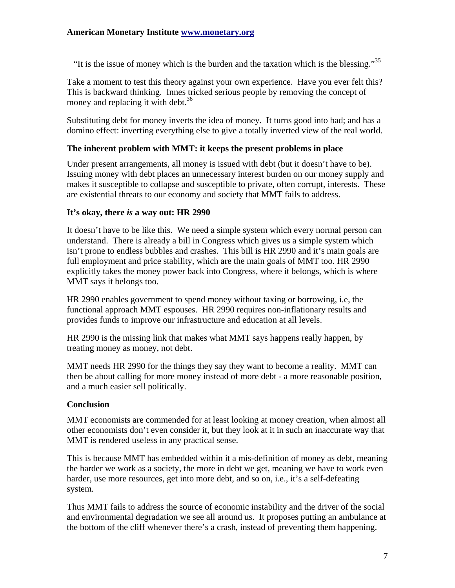"It is the issue of money which is the burden and the taxation which is the blessing." $35$ 

Take a moment to test this theory against your own experience. Have you ever felt this? This is backward thinking. Innes tricked serious people by removing the concept of money and replacing it with debt.<sup>36</sup>

Substituting debt for money inverts the idea of money. It turns good into bad; and has a domino effect: inverting everything else to give a totally inverted view of the real world.

## **The inherent problem with MMT: it keeps the present problems in place**

Under present arrangements, all money is issued with debt (but it doesn't have to be). Issuing money with debt places an unnecessary interest burden on our money supply and makes it susceptible to collapse and susceptible to private, often corrupt, interests. These are existential threats to our economy and society that MMT fails to address.

#### **It's okay, there** *is* **a way out: HR 2990**

It doesn't have to be like this. We need a simple system which every normal person can understand. There is already a bill in Congress which gives us a simple system which isn't prone to endless bubbles and crashes. This bill is HR 2990 and it's main goals are full employment and price stability, which are the main goals of MMT too. HR 2990 explicitly takes the money power back into Congress, where it belongs, which is where MMT says it belongs too.

HR 2990 enables government to spend money without taxing or borrowing, i.e, the functional approach MMT espouses. HR 2990 requires non-inflationary results and provides funds to improve our infrastructure and education at all levels.

HR 2990 is the missing link that makes what MMT says happens really happen, by treating money as money, not debt.

MMT needs HR 2990 for the things they say they want to become a reality. MMT can then be about calling for more money instead of more debt - a more reasonable position, and a much easier sell politically.

#### **Conclusion**

MMT economists are commended for at least looking at money creation, when almost all other economists don't even consider it, but they look at it in such an inaccurate way that MMT is rendered useless in any practical sense.

This is because MMT has embedded within it a mis-definition of money as debt, meaning the harder we work as a society, the more in debt we get, meaning we have to work even harder, use more resources, get into more debt, and so on, i.e., it's a self-defeating system.

Thus MMT fails to address the source of economic instability and the driver of the social and environmental degradation we see all around us. It proposes putting an ambulance at the bottom of the cliff whenever there's a crash, instead of preventing them happening.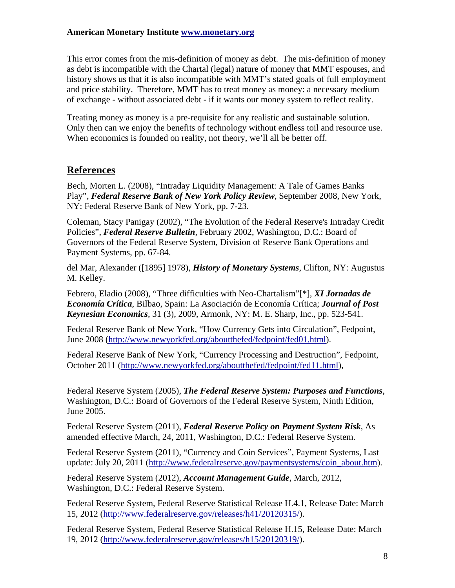This error comes from the mis-definition of money as debt. The mis-definition of money as debt is incompatible with the Chartal (legal) nature of money that MMT espouses, and history shows us that it is also incompatible with MMT's stated goals of full employment and price stability. Therefore, MMT has to treat money as money: a necessary medium of exchange - without associated debt - if it wants our money system to reflect reality.

Treating money as money is a pre-requisite for any realistic and sustainable solution. Only then can we enjoy the benefits of technology without endless toil and resource use. When economics is founded on reality, not theory, we'll all be better off.

# **References**

Bech, Morten L. (2008), "Intraday Liquidity Management: A Tale of Games Banks Play", *Federal Reserve Bank of New York Policy Review*, September 2008, New York, NY: Federal Reserve Bank of New York, pp. 7-23.

Coleman, Stacy Panigay (2002), "The Evolution of the Federal Reserve's Intraday Credit Policies", *Federal Reserve Bulletin*, February 2002, Washington, D.C.: Board of Governors of the Federal Reserve System, Division of Reserve Bank Operations and Payment Systems, pp. 67-84.

del Mar, Alexander ([1895] 1978), *History of Monetary Systems*, Clifton, NY: Augustus M. Kelley.

Febrero, Eladio (2008), "Three difficulties with Neo-Chartalism"[\*], *XI Jornadas de Economía Crítica*, Bilbao, Spain: La Asociación de Economía Crítica; *Journal of Post Keynesian Economics*, 31 (3), 2009, Armonk, NY: M. E. Sharp, Inc., pp. 523-541.

Federal Reserve Bank of New York, "How Currency Gets into Circulation", Fedpoint, June 2008 [\(http://www.newyorkfed.org/aboutthefed/fedpoint/fed01.html\)](http://www.newyorkfed.org/aboutthefed/fedpoint/fed01.html).

Federal Reserve Bank of New York, "Currency Processing and Destruction", Fedpoint, October 2011 ([http://www.newyorkfed.org/aboutthefed/fedpoint/fed11.html\)](http://www.newyorkfed.org/aboutthefed/fedpoint/fed11.html),

Federal Reserve System (2005), *The Federal Reserve System: Purposes and Functions*, Washington, D.C.: Board of Governors of the Federal Reserve System, Ninth Edition, June 2005.

Federal Reserve System (2011), *Federal Reserve Policy on Payment System Risk*, As amended effective March, 24, 2011, Washington, D.C.: Federal Reserve System.

Federal Reserve System (2011), "Currency and Coin Services", Payment Systems, Last update: July 20, 2011 [\(http://www.federalreserve.gov/paymentsystems/coin\\_about.htm\)](http://www.federalreserve.gov/paymentsystems/coin_about.htm).

Federal Reserve System (2012), *Account Management Guide*, March, 2012, Washington, D.C.: Federal Reserve System.

Federal Reserve System, Federal Reserve Statistical Release H.4.1, Release Date: March 15, 2012 ([http://www.federalreserve.gov/releases/h41/20120315/\)](http://www.federalreserve.gov/releases/h41/20120315/).

Federal Reserve System, Federal Reserve Statistical Release H.15, Release Date: March 19, 2012 ([http://www.federalreserve.gov/releases/h15/20120319/\)](http://www.federalreserve.gov/releases/h15/20120319/).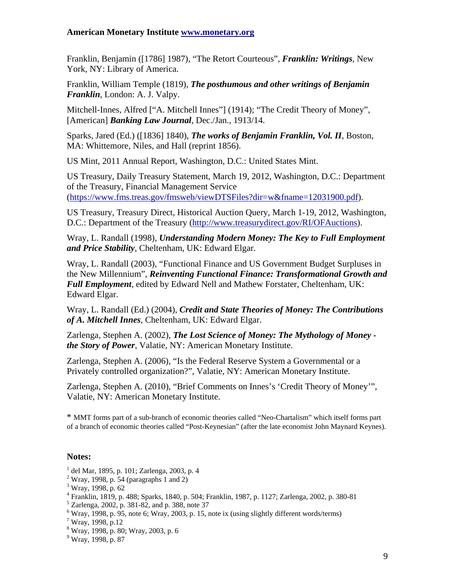Franklin, Benjamin ([1786] 1987), "The Retort Courteous", *Franklin: Writings*, New York, NY: Library of America.

Franklin, William Temple (1819), *The posthumous and other writings of Benjamin Franklin*, London: A. J. Valpy.

Mitchell-Innes, Alfred ["A. Mitchell Innes"] (1914); "The Credit Theory of Money", [American] *Banking Law Journal*, Dec./Jan., 1913/14.

Sparks, Jared (Ed.) ([1836] 1840), *The works of Benjamin Franklin, Vol. II*, Boston, MA: Whittemore, Niles, and Hall (reprint 1856).

US Mint, 2011 Annual Report, Washington, D.C.: United States Mint.

US Treasury, Daily Treasury Statement, March 19, 2012, Washington, D.C.: Department of the Treasury, Financial Management Service (<https://www.fms.treas.gov/fmsweb/viewDTSFiles?dir=w&fname=12031900.pdf>).

US Treasury, Treasury Direct, Historical Auction Query, March 1-19, 2012, Washington, D.C.: Department of the Treasury ([http://www.treasurydirect.gov/RI/OFAuctions\)](http://www.treasurydirect.gov/RI/OFAuctions).

Wray, L. Randall (1998), *Understanding Modern Money: The Key to Full Employment and Price Stability*, Cheltenham, UK: Edward Elgar.

Wray, L. Randall (2003), "Functional Finance and US Government Budget Surpluses in the New Millennium", *Reinventing Functional Finance: Transformational Growth and Full Employment*, edited by Edward Nell and Mathew Forstater, Cheltenham, UK: Edward Elgar.

Wray, L. Randall (Ed.) (2004), *Credit and State Theories of Money: The Contributions of A. Mitchell Innes*, Cheltenham, UK: Edward Elgar.

Zarlenga, Stephen A. (2002), *The Lost Science of Money: The Mythology of Money the Story of Power*, Valatie, NY: American Monetary Institute.

Zarlenga, Stephen A. (2006), "Is the Federal Reserve System a Governmental or a Privately controlled organization?", Valatie, NY: American Monetary Institute.

Zarlenga, Stephen A. (2010), "Brief Comments on Innes's 'Credit Theory of Money'", Valatie, NY: American Monetary Institute.

\* MMT forms part of a sub-branch of economic theories called "Neo-Chartalism" which itself forms part of a branch of economic theories called "Post-Keynesian" (after the late economist John Maynard Keynes).

#### **Notes:**

- 1 del Mar, 1895, p. 101; Zarlenga, 2003, p. 4
- $2$  Wray, 1998, p. 54 (paragraphs 1 and 2)

- 4 Franklin, 1819, p. 488; Sparks, 1840, p. 504; Franklin, 1987, p. 1127; Zarlenga, 2002, p. 380-81
- 5 Zarlenga, 2002, p. 381-82, and p. 388, note 37
- $6$  Wray, 1998, p. 95, note 6; Wray, 2003, p. 15, note ix (using slightly different words/terms)
- 7 Wray, 1998, p.12
- 8 Wray, 1998, p. 80; Wray, 2003, p. 6

9 Wray, 1998, p. 87

<sup>3</sup> Wray, 1998, p. 62